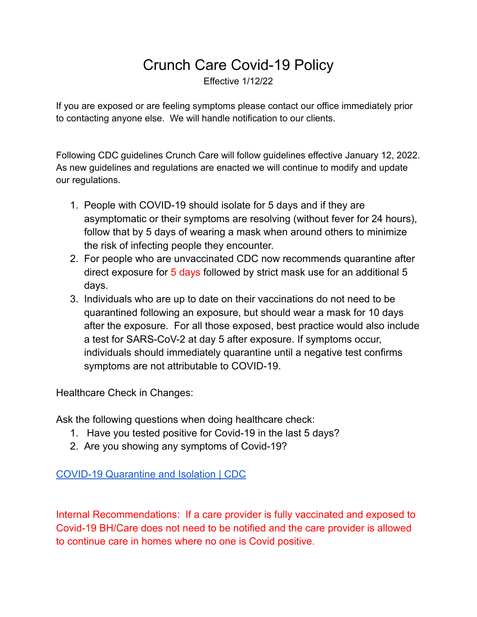## Crunch Care Covid-19 Policy

Effective 1/12/22

If you are exposed or are feeling symptoms please contact our office immediately prior to contacting anyone else. We will handle notification to our clients.

Following CDC guidelines Crunch Care will follow guidelines effective January 12, 2022. As new guidelines and regulations are enacted we will continue to modify and update our regulations.

- 1. People with COVID-19 should isolate for 5 days and if they are asymptomatic or their symptoms are resolving (without fever for 24 hours), follow that by 5 days of wearing a mask when around others to minimize the risk of infecting people they encounter.
- 2. For people who are unvaccinated CDC now recommends quarantine after direct exposure for 5 days followed by strict mask use for an additional 5 days.
- 3. Individuals who are up to date on their vaccinations do not need to be quarantined following an exposure, but should wear a mask for 10 days after the exposure. For all those exposed, best practice would also include a test for SARS-CoV-2 at day 5 after exposure. If symptoms occur, individuals should immediately quarantine until a negative test confirms symptoms are not attributable to COVID-19.

Healthcare Check in Changes:

Ask the following questions when doing healthcare check:

- 1. Have you tested positive for Covid-19 in the last 5 days?
- 2. Are you showing any symptoms of Covid-19?

COVID-19 [Quarantine](https://www.cdc.gov/coronavirus/2019-ncov/your-health/quarantine-isolation.html) and Isolation | CDC

Internal Recommendations: If a care provider is fully vaccinated and exposed to Covid-19 BH/Care does not need to be notified and the care provider is allowed to continue care in homes where no one is Covid positive.